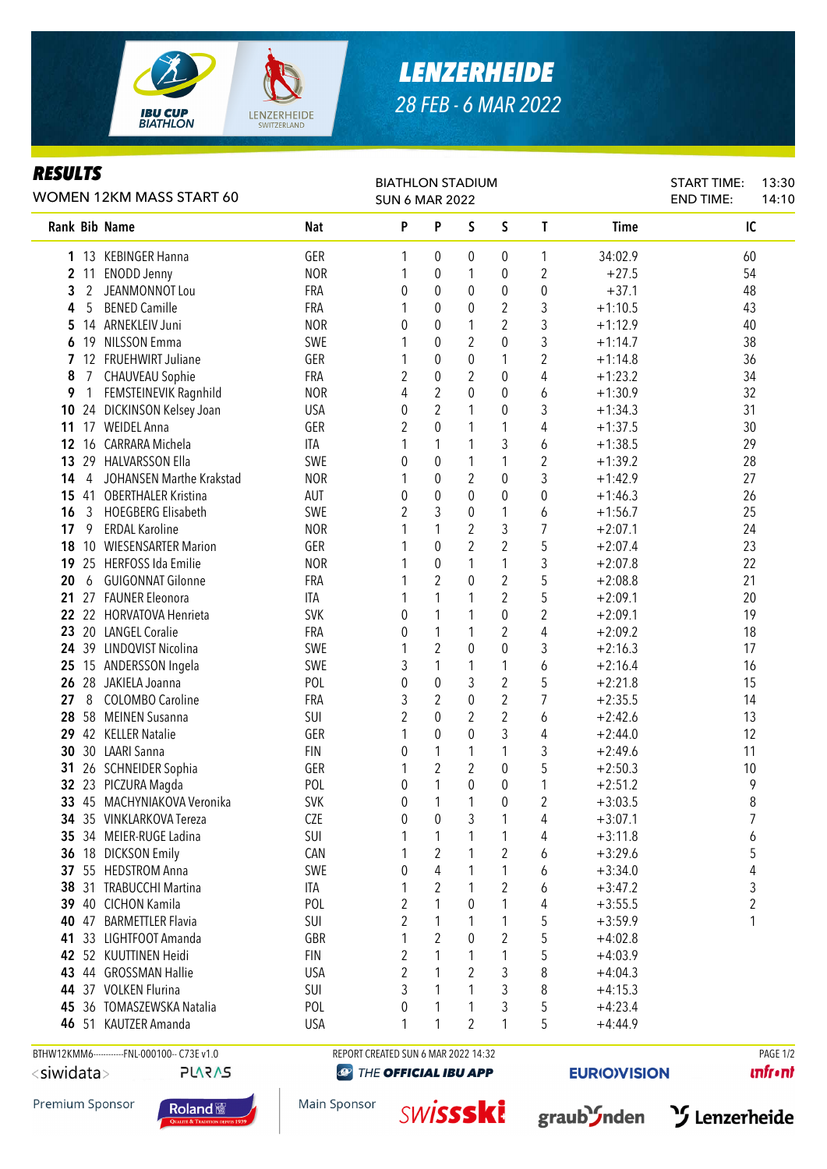

## *LENZERHEIDE 28 FEB - 6 MAR 2022*

## *RESULTS*

| KESULIS<br>WOMEN 12KM MASS START 60 |                                              |            | <b>BIATHLON STADIUM</b><br><b>SUN 6 MAR 2022</b> |                  |                |                  |                |             | <b>START TIME:</b><br><b>END TIME:</b> | 13:30<br>14:10 |
|-------------------------------------|----------------------------------------------|------------|--------------------------------------------------|------------------|----------------|------------------|----------------|-------------|----------------------------------------|----------------|
| Rank Bib Name                       |                                              | Nat        | P                                                | P                | S              | S                | T              | <b>Time</b> | IC                                     |                |
|                                     | 1 13 KEBINGER Hanna                          | GER        | 1                                                | 0                | 0              | 0                | 1              | 34:02.9     | 60                                     |                |
| $\overline{2}$                      | 11 ENODD Jenny                               | <b>NOR</b> | 1                                                | 0                | 1              | 0                | 2              | $+27.5$     | 54                                     |                |
| 3<br>2                              | JEANMONNOT Lou                               | <b>FRA</b> | 0                                                | 0                | 0              | $\boldsymbol{0}$ | 0              | $+37.1$     | 48                                     |                |
| 5<br>4                              | <b>BENED Camille</b>                         | <b>FRA</b> | 1                                                | $\theta$         | 0              | $\overline{2}$   | 3              | $+1:10.5$   | 43                                     |                |
| 5                                   | 14 ARNEKLEIV Juni                            | <b>NOR</b> | $\mathbf{0}$                                     | $\mathbf{0}$     | 1              | $\overline{2}$   | $\mathfrak{Z}$ | $+1:12.9$   | 40                                     |                |
| 19<br>6                             | <b>NILSSON Emma</b>                          | SWE        | 1                                                | 0                | $\overline{2}$ | 0                | 3              | $+1:14.7$   | 38                                     |                |
| $\mathbf{7}$                        | 12 FRUEHWIRT Juliane                         | GER        | 1                                                | 0                | 0              | 1                | 2              | $+1:14.8$   | 36                                     |                |
| 8<br>7                              | <b>CHAUVEAU Sophie</b>                       | FRA        | 2                                                | 0                | 2              | 0                | 4              | $+1:23.2$   | 34                                     |                |
| 9                                   | FEMSTEINEVIK Ragnhild                        | <b>NOR</b> | 4                                                | $\overline{2}$   | $\theta$       | 0                | 6              | $+1:30.9$   | 32                                     |                |
| 10                                  | 24 DICKINSON Kelsey Joan                     | <b>USA</b> | 0                                                | $\overline{2}$   | 1              | 0                | 3              | $+1:34.3$   | 31                                     |                |
| 11                                  | 17 WEIDEL Anna                               | GER        | 2                                                | $\mathbf 0$      | 1              | 1                | 4              | $+1:37.5$   | 30                                     |                |
| 12<br>16                            | CARRARA Michela                              | ITA        | 1                                                | 1                | 1              | 3                | 6              | $+1:38.5$   | 29                                     |                |
| 13                                  | 29 HALVARSSON Ella                           | SWE        | 0                                                | 0                | 1              | 1                | $\overline{2}$ | $+1:39.2$   | 28                                     |                |
| 14<br>4                             | JOHANSEN Marthe Krakstad                     | <b>NOR</b> | 1                                                | 0                | $\overline{2}$ | 0                | 3              | $+1:42.9$   | 27                                     |                |
|                                     | 15 41 OBERTHALER Kristina                    | AUT        | 0                                                | 0                | $\theta$       | 0                | 0              | $+1:46.3$   | 26                                     |                |
| 16                                  | 3 HOEGBERG Elisabeth                         | SWE        | $\overline{2}$                                   | 3                | 0              | 1                | 6              | $+1:56.7$   | 25                                     |                |
| 17<br>9                             | <b>ERDAL Karoline</b>                        | <b>NOR</b> |                                                  | 1                | $\overline{2}$ | 3                | 7              | $+2:07.1$   | 24                                     |                |
| 18                                  | 10 WIESENSARTER Marion                       | GER        |                                                  | $\mathbf 0$      | $\overline{2}$ | $\overline{2}$   | 5              | $+2:07.4$   | 23                                     |                |
| 19                                  | 25 HERFOSS Ida Emilie                        | <b>NOR</b> | 1                                                | $\boldsymbol{0}$ | 1              | 1                | 3              | $+2:07.8$   | 22                                     |                |
| 20<br>6                             | <b>GUIGONNAT Gilonne</b>                     | FRA        |                                                  | $\overline{2}$   | 0              | $\overline{2}$   | 5              | $+2:08.8$   | 21                                     |                |
| 21                                  | 27 FAUNER Eleonora                           | ITA        | 1                                                | $\mathbf{1}$     | 1              | $\overline{2}$   | 5              | $+2:09.1$   | 20                                     |                |
|                                     | 22 22 HORVATOVA Henrieta                     | <b>SVK</b> | 0                                                | $\mathbf{1}$     | 1              | $\boldsymbol{0}$ | $\overline{2}$ | $+2:09.1$   | 19                                     |                |
|                                     | 23 20 LANGEL Coralie                         | FRA        | 0                                                | 1                | 1              | $\overline{2}$   | 4              | $+2:09.2$   | 18                                     |                |
|                                     | 24 39 LINDQVIST Nicolina                     | SWE        | 1                                                | $\overline{2}$   | 0              | $\mathbf 0$      | 3              | $+2:16.3$   | 17                                     |                |
|                                     | 25 15 ANDERSSON Ingela                       | SWE        | 3                                                | $\mathbf{1}$     | 1              | 1                | 6              | $+2:16.4$   | 16                                     |                |
|                                     | 26 28 JAKIELA Joanna                         | POL        | 0                                                | $\mathbf 0$      | 3              | $\overline{2}$   | 5              | $+2:21.8$   | 15                                     |                |
| 8<br>27                             | <b>COLOMBO Caroline</b>                      | <b>FRA</b> | 3                                                | $\overline{2}$   | 0              | $\overline{2}$   | 7              | $+2:35.5$   | 14                                     |                |
| 28                                  | 58 MEINEN Susanna                            | <b>SUI</b> | $\overline{2}$                                   | 0                | 2              | $\overline{2}$   | 6              | $+2:42.6$   | 13                                     |                |
|                                     | 29 42 KELLER Natalie                         | GER        | 1                                                | 0                | $\theta$       | 3                | 4              | $+2:44.0$   | 12                                     |                |
|                                     | 30 30 LAARI Sanna                            | <b>FIN</b> | 0                                                | 1                | 1              | 1                | 3              | $+2:49.6$   | 11                                     |                |
| 31                                  | 26 SCHNEIDER Sophia                          | GER        | 1                                                | 2                | 2              | 0                | 5              | $+2:50.3$   | 10                                     |                |
|                                     | 32 23 PICZURA Magda                          | POL        | 0                                                | 1                | 0              | 0                | 1              | $+2:51.2$   | 9                                      |                |
|                                     | 33 45 MACHYNIAKOVA Veronika                  | <b>SVK</b> | 0                                                | 1                | 1              | 0                | 2              | $+3:03.5$   | 8                                      |                |
|                                     | 34 35 VINKLARKOVA Tereza                     | <b>CZE</b> | 0                                                | 0                | 3              | 1                | 4              | $+3:07.1$   | $\overline{7}$                         |                |
|                                     | 35 34 MEIER-RUGE Ladina                      | SUI        | 1                                                | 1                | 1              | 1                | 4              | $+3:11.8$   | 6                                      |                |
|                                     | 36 18 DICKSON Emily                          | CAN        |                                                  | $\overline{2}$   | 1              | 2                | 6              | $+3:29.6$   | 5                                      |                |
|                                     | 37 55 HEDSTROM Anna                          | SWE        | 0                                                | 4                | 1              | 1                | 6              | $+3:34.0$   | 4                                      |                |
|                                     | 38 31 TRABUCCHI Martina                      | <b>ITA</b> | 1                                                | $\overline{2}$   | 1              | $\overline{2}$   | 6              | $+3:47.2$   | 3                                      |                |
|                                     | 39 40 CICHON Kamila                          | POL        | $\overline{2}$                                   | 1                | 0              | 1                | 4              | $+3:55.5$   | 2                                      |                |
|                                     | 40 47 BARMETTLER Flavia                      | SUI        | $\overline{2}$                                   | 1                | 1              | 1                | 5              | $+3:59.9$   | 1                                      |                |
|                                     | 41 33 LIGHTFOOT Amanda                       | GBR        |                                                  | $\overline{2}$   | 0              | $\overline{2}$   | 5              | $+4:02.8$   |                                        |                |
|                                     | 42 52 KUUTTINEN Heidi                        | <b>FIN</b> | 2                                                | 1                | 1              | 1                | 5              | $+4:03.9$   |                                        |                |
|                                     | 43 44 GROSSMAN Hallie                        | <b>USA</b> | $\overline{2}$                                   | 1                | $\overline{2}$ | 3                | 8              | $+4:04.3$   |                                        |                |
|                                     | 44 37 VOLKEN Flurina                         | SUI        | 3                                                | 1                | 1              | 3                | 8              | $+4:15.3$   |                                        |                |
|                                     | 45 36 TOMASZEWSKA Natalia                    | POL        | 0                                                | 1                | 1              | 3                | 5              | $+4:23.4$   |                                        |                |
|                                     | 46 51 KAUTZER Amanda                         | <b>USA</b> | 1                                                | 1                | $\overline{2}$ | 1                | 5              | $+4:44.9$   |                                        |                |
|                                     | BTHW12KMM6------------FNL-000100-- C73E v1.0 |            | REPORT CREATED SUN 6 MAR 2022 14:32              |                  |                |                  |                |             |                                        | PAGE 1/2       |

```
<siwidata>
```

```
PLARAS
```
Premium Sponsor



**THE OFFICIAL IBU APP** 

**EURIO)VISION** 

**unfront** 







Main Sponsor